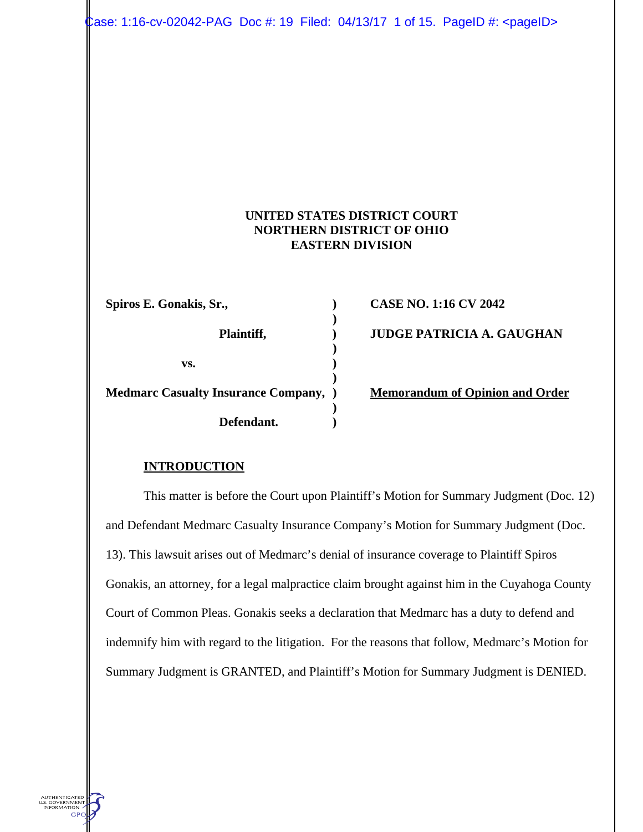Case: 1:16-cv-02042-PAG Doc #: 19 Filed: 04/13/17 1 of 15. PageID #: <pageID>

### **UNITED STATES DISTRICT COURT NORTHERN DISTRICT OF OHIO EASTERN DIVISION**

| Spiros E. Gonakis, Sr.,                      |  |
|----------------------------------------------|--|
| Plaintiff,                                   |  |
| VS.                                          |  |
| <b>Medmarc Casualty Insurance Company,</b> ) |  |
| Defendant.                                   |  |

**CASE NO. 1:16 CV 2042 JUDGE PATRICIA A. GAUGHAN** 

**Memorandum of Opinion and Order** 

### **INTRODUCTION**

AUTHENTICATED<br>J.S. GOVERNMENT<br>INFORMATION GPC

This matter is before the Court upon Plaintiff's Motion for Summary Judgment (Doc. 12) and Defendant Medmarc Casualty Insurance Company's Motion for Summary Judgment (Doc. 13). This lawsuit arises out of Medmarc's denial of insurance coverage to Plaintiff Spiros Gonakis, an attorney, for a legal malpractice claim brought against him in the Cuyahoga County Court of Common Pleas. Gonakis seeks a declaration that Medmarc has a duty to defend and indemnify him with regard to the litigation. For the reasons that follow, Medmarc's Motion for Summary Judgment is GRANTED, and Plaintiff's Motion for Summary Judgment is DENIED.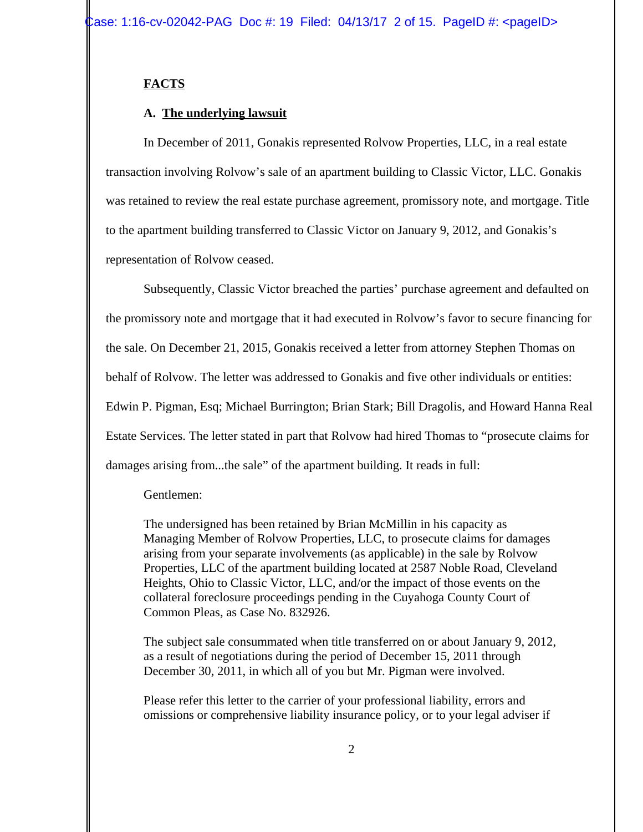### **FACTS**

### **A. The underlying lawsuit**

In December of 2011, Gonakis represented Rolvow Properties, LLC, in a real estate transaction involving Rolvow's sale of an apartment building to Classic Victor, LLC. Gonakis was retained to review the real estate purchase agreement, promissory note, and mortgage. Title to the apartment building transferred to Classic Victor on January 9, 2012, and Gonakis's representation of Rolvow ceased.

Subsequently, Classic Victor breached the parties' purchase agreement and defaulted on the promissory note and mortgage that it had executed in Rolvow's favor to secure financing for the sale. On December 21, 2015, Gonakis received a letter from attorney Stephen Thomas on behalf of Rolvow. The letter was addressed to Gonakis and five other individuals or entities: Edwin P. Pigman, Esq; Michael Burrington; Brian Stark; Bill Dragolis, and Howard Hanna Real Estate Services. The letter stated in part that Rolvow had hired Thomas to "prosecute claims for damages arising from...the sale" of the apartment building. It reads in full:

#### Gentlemen:

The undersigned has been retained by Brian McMillin in his capacity as Managing Member of Rolvow Properties, LLC, to prosecute claims for damages arising from your separate involvements (as applicable) in the sale by Rolvow Properties, LLC of the apartment building located at 2587 Noble Road, Cleveland Heights, Ohio to Classic Victor, LLC, and/or the impact of those events on the collateral foreclosure proceedings pending in the Cuyahoga County Court of Common Pleas, as Case No. 832926.

The subject sale consummated when title transferred on or about January 9, 2012, as a result of negotiations during the period of December 15, 2011 through December 30, 2011, in which all of you but Mr. Pigman were involved.

Please refer this letter to the carrier of your professional liability, errors and omissions or comprehensive liability insurance policy, or to your legal adviser if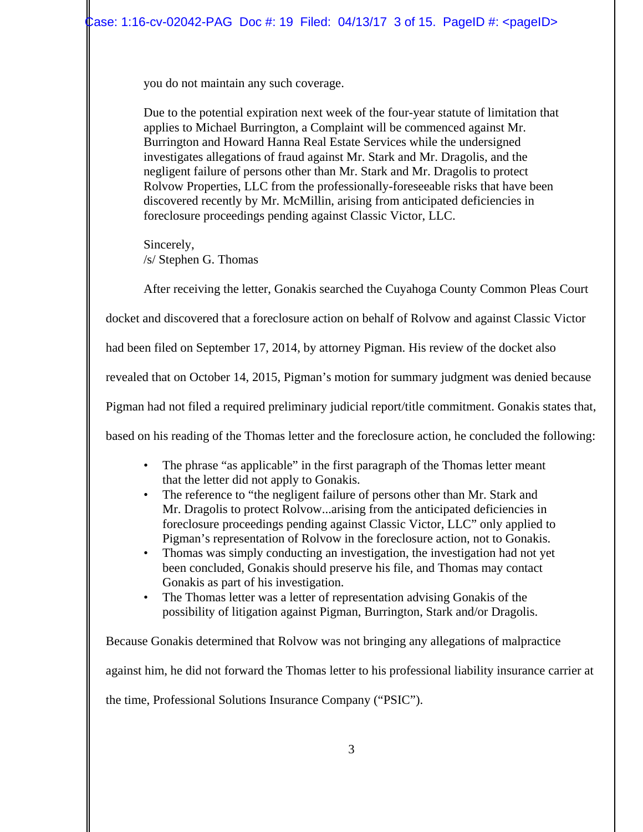you do not maintain any such coverage.

Due to the potential expiration next week of the four-year statute of limitation that applies to Michael Burrington, a Complaint will be commenced against Mr. Burrington and Howard Hanna Real Estate Services while the undersigned investigates allegations of fraud against Mr. Stark and Mr. Dragolis, and the negligent failure of persons other than Mr. Stark and Mr. Dragolis to protect Rolvow Properties, LLC from the professionally-foreseeable risks that have been discovered recently by Mr. McMillin, arising from anticipated deficiencies in foreclosure proceedings pending against Classic Victor, LLC.

Sincerely, /s/ Stephen G. Thomas

After receiving the letter, Gonakis searched the Cuyahoga County Common Pleas Court

docket and discovered that a foreclosure action on behalf of Rolvow and against Classic Victor

had been filed on September 17, 2014, by attorney Pigman. His review of the docket also

revealed that on October 14, 2015, Pigman's motion for summary judgment was denied because

Pigman had not filed a required preliminary judicial report/title commitment. Gonakis states that,

based on his reading of the Thomas letter and the foreclosure action, he concluded the following:

- The phrase "as applicable" in the first paragraph of the Thomas letter meant that the letter did not apply to Gonakis.
- The reference to "the negligent failure of persons other than Mr. Stark and Mr. Dragolis to protect Rolvow...arising from the anticipated deficiencies in foreclosure proceedings pending against Classic Victor, LLC" only applied to Pigman's representation of Rolvow in the foreclosure action, not to Gonakis.
- Thomas was simply conducting an investigation, the investigation had not yet been concluded, Gonakis should preserve his file, and Thomas may contact Gonakis as part of his investigation.
- The Thomas letter was a letter of representation advising Gonakis of the possibility of litigation against Pigman, Burrington, Stark and/or Dragolis.

Because Gonakis determined that Rolvow was not bringing any allegations of malpractice against him, he did not forward the Thomas letter to his professional liability insurance carrier at the time, Professional Solutions Insurance Company ("PSIC").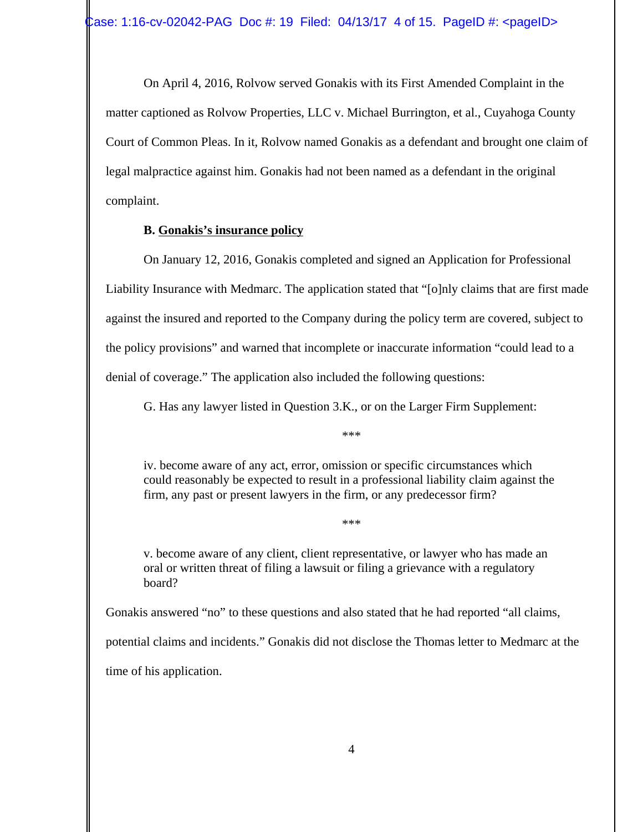On April 4, 2016, Rolvow served Gonakis with its First Amended Complaint in the matter captioned as Rolvow Properties, LLC v. Michael Burrington, et al., Cuyahoga County Court of Common Pleas. In it, Rolvow named Gonakis as a defendant and brought one claim of legal malpractice against him. Gonakis had not been named as a defendant in the original complaint.

### **B. Gonakis's insurance policy**

On January 12, 2016, Gonakis completed and signed an Application for Professional Liability Insurance with Medmarc. The application stated that "[o]nly claims that are first made against the insured and reported to the Company during the policy term are covered, subject to the policy provisions" and warned that incomplete or inaccurate information "could lead to a denial of coverage." The application also included the following questions:

G. Has any lawyer listed in Question 3.K., or on the Larger Firm Supplement:

\*\*\*

iv. become aware of any act, error, omission or specific circumstances which could reasonably be expected to result in a professional liability claim against the firm, any past or present lawyers in the firm, or any predecessor firm?

\*\*\*

v. become aware of any client, client representative, or lawyer who has made an oral or written threat of filing a lawsuit or filing a grievance with a regulatory board?

Gonakis answered "no" to these questions and also stated that he had reported "all claims, potential claims and incidents." Gonakis did not disclose the Thomas letter to Medmarc at the time of his application.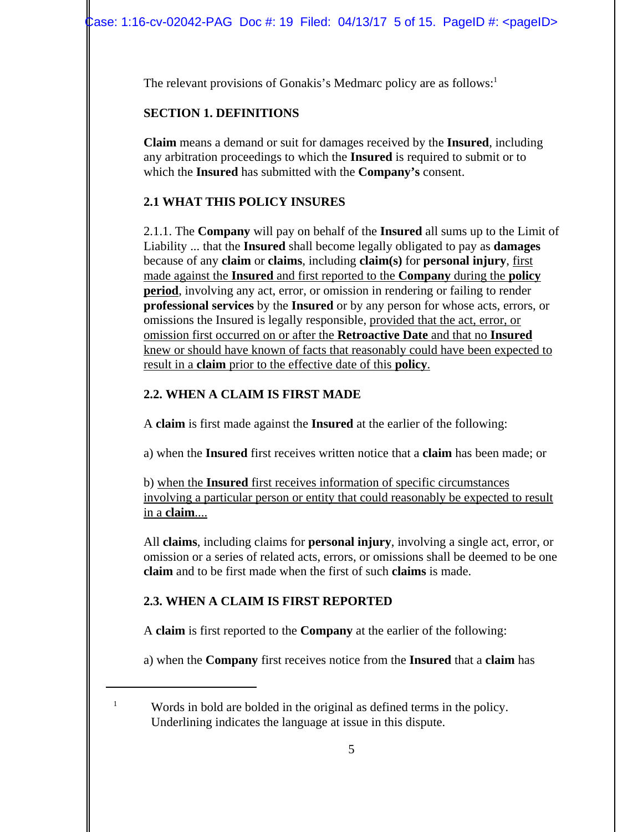The relevant provisions of Gonakis's Medmarc policy are as follows:<sup>1</sup>

## **SECTION 1. DEFINITIONS**

**Claim** means a demand or suit for damages received by the **Insured**, including any arbitration proceedings to which the **Insured** is required to submit or to which the **Insured** has submitted with the **Company's** consent.

# **2.1 WHAT THIS POLICY INSURES**

2.1.1. The **Company** will pay on behalf of the **Insured** all sums up to the Limit of Liability ... that the **Insured** shall become legally obligated to pay as **damages** because of any **claim** or **claims**, including **claim(s)** for **personal injury**, first made against the **Insured** and first reported to the **Company** during the **policy period**, involving any act, error, or omission in rendering or failing to render **professional services** by the **Insured** or by any person for whose acts, errors, or omissions the Insured is legally responsible, provided that the act, error, or omission first occurred on or after the **Retroactive Date** and that no **Insured** knew or should have known of facts that reasonably could have been expected to result in a **claim** prior to the effective date of this **policy**.

# **2.2. WHEN A CLAIM IS FIRST MADE**

A **claim** is first made against the **Insured** at the earlier of the following:

a) when the **Insured** first receives written notice that a **claim** has been made; or

b) when the **Insured** first receives information of specific circumstances involving a particular person or entity that could reasonably be expected to result in a **claim**....

All **claims**, including claims for **personal injury**, involving a single act, error, or omission or a series of related acts, errors, or omissions shall be deemed to be one **claim** and to be first made when the first of such **claims** is made.

# **2.3. WHEN A CLAIM IS FIRST REPORTED**

A **claim** is first reported to the **Company** at the earlier of the following:

a) when the **Company** first receives notice from the **Insured** that a **claim** has

<sup>1</sup> Words in bold are bolded in the original as defined terms in the policy. Underlining indicates the language at issue in this dispute.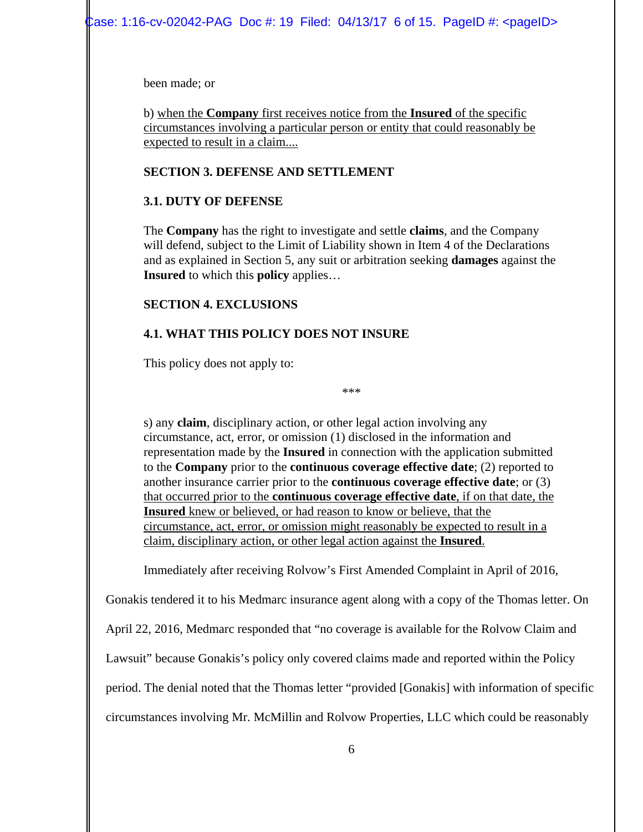been made; or

b) when the **Company** first receives notice from the **Insured** of the specific circumstances involving a particular person or entity that could reasonably be expected to result in a claim....

### **SECTION 3. DEFENSE AND SETTLEMENT**

### **3.1. DUTY OF DEFENSE**

The **Company** has the right to investigate and settle **claims**, and the Company will defend, subject to the Limit of Liability shown in Item 4 of the Declarations and as explained in Section 5, any suit or arbitration seeking **damages** against the **Insured** to which this **policy** applies…

### **SECTION 4. EXCLUSIONS**

# **4.1. WHAT THIS POLICY DOES NOT INSURE**

This policy does not apply to:

\*\*\*

s) any **claim**, disciplinary action, or other legal action involving any circumstance, act, error, or omission (1) disclosed in the information and representation made by the **Insured** in connection with the application submitted to the **Company** prior to the **continuous coverage effective date**; (2) reported to another insurance carrier prior to the **continuous coverage effective date**; or (3) that occurred prior to the **continuous coverage effective date**, if on that date, the **Insured** knew or believed, or had reason to know or believe, that the circumstance, act, error, or omission might reasonably be expected to result in a claim, disciplinary action, or other legal action against the **Insured**.

Immediately after receiving Rolvow's First Amended Complaint in April of 2016,

Gonakis tendered it to his Medmarc insurance agent along with a copy of the Thomas letter. On

April 22, 2016, Medmarc responded that "no coverage is available for the Rolvow Claim and

Lawsuit" because Gonakis's policy only covered claims made and reported within the Policy

period. The denial noted that the Thomas letter "provided [Gonakis] with information of specific

circumstances involving Mr. McMillin and Rolvow Properties, LLC which could be reasonably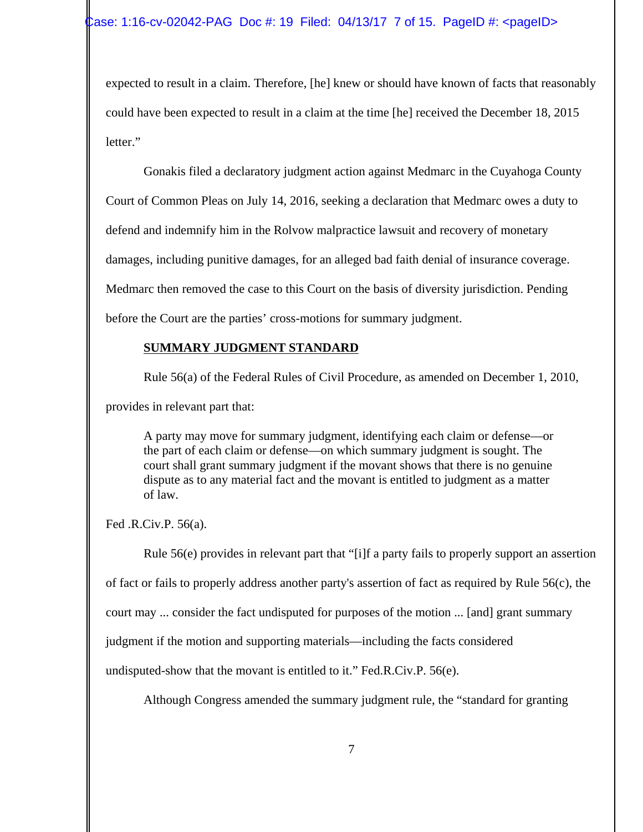expected to result in a claim. Therefore, [he] knew or should have known of facts that reasonably could have been expected to result in a claim at the time [he] received the December 18, 2015 letter."

Gonakis filed a declaratory judgment action against Medmarc in the Cuyahoga County Court of Common Pleas on July 14, 2016, seeking a declaration that Medmarc owes a duty to defend and indemnify him in the Rolvow malpractice lawsuit and recovery of monetary damages, including punitive damages, for an alleged bad faith denial of insurance coverage. Medmarc then removed the case to this Court on the basis of diversity jurisdiction. Pending before the Court are the parties' cross-motions for summary judgment.

# **SUMMARY JUDGMENT STANDARD**

Rule 56(a) of the Federal Rules of Civil Procedure, as amended on December 1, 2010,

provides in relevant part that:

A party may move for summary judgment, identifying each claim or defense—or the part of each claim or defense—on which summary judgment is sought. The court shall grant summary judgment if the movant shows that there is no genuine dispute as to any material fact and the movant is entitled to judgment as a matter of law.

Fed .R.Civ.P. 56(a).

Rule 56(e) provides in relevant part that "[i]f a party fails to properly support an assertion of fact or fails to properly address another party's assertion of fact as required by Rule 56(c), the court may ... consider the fact undisputed for purposes of the motion ... [and] grant summary judgment if the motion and supporting materials—including the facts considered undisputed-show that the movant is entitled to it." Fed.R.Civ.P. 56(e).

Although Congress amended the summary judgment rule, the "standard for granting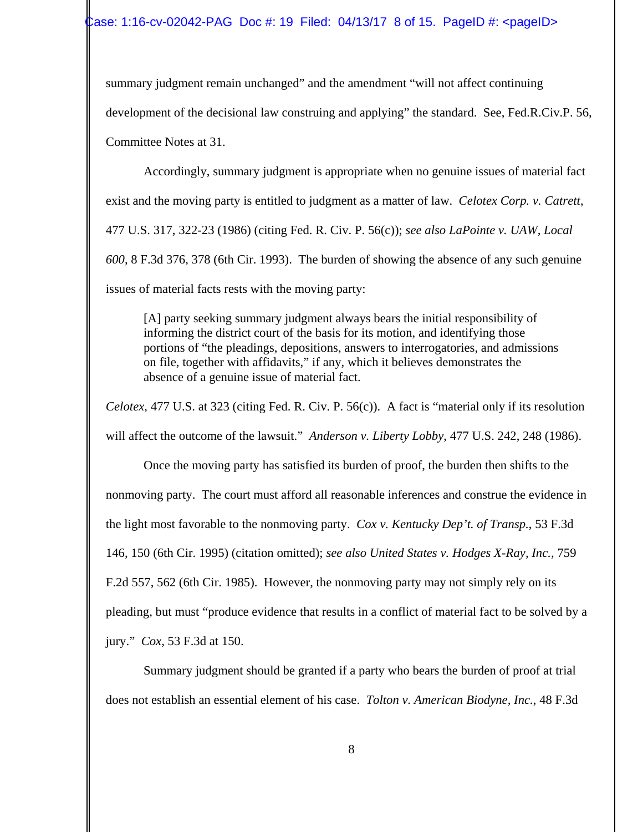summary judgment remain unchanged" and the amendment "will not affect continuing development of the decisional law construing and applying" the standard. See, Fed.R.Civ.P. 56, Committee Notes at 31.

Accordingly, summary judgment is appropriate when no genuine issues of material fact exist and the moving party is entitled to judgment as a matter of law. *Celotex Corp. v. Catrett*, 477 U.S. 317, 322-23 (1986) (citing Fed. R. Civ. P. 56(c)); *see also LaPointe v. UAW, Local 600*, 8 F.3d 376, 378 (6th Cir. 1993). The burden of showing the absence of any such genuine issues of material facts rests with the moving party:

[A] party seeking summary judgment always bears the initial responsibility of informing the district court of the basis for its motion, and identifying those portions of "the pleadings, depositions, answers to interrogatories, and admissions on file, together with affidavits," if any, which it believes demonstrates the absence of a genuine issue of material fact.

*Celotex*, 477 U.S. at 323 (citing Fed. R. Civ. P. 56(c)). A fact is "material only if its resolution will affect the outcome of the lawsuit." *Anderson v. Liberty Lobby*, 477 U.S. 242, 248 (1986).

Once the moving party has satisfied its burden of proof, the burden then shifts to the nonmoving party. The court must afford all reasonable inferences and construe the evidence in the light most favorable to the nonmoving party. *Cox v. Kentucky Dep't. of Transp.*, 53 F.3d 146, 150 (6th Cir. 1995) (citation omitted); *see also United States v. Hodges X-Ray, Inc.,* 759 F.2d 557, 562 (6th Cir. 1985). However, the nonmoving party may not simply rely on its pleading, but must "produce evidence that results in a conflict of material fact to be solved by a jury." *Cox*, 53 F.3d at 150.

Summary judgment should be granted if a party who bears the burden of proof at trial does not establish an essential element of his case. *Tolton v. American Biodyne, Inc.*, 48 F.3d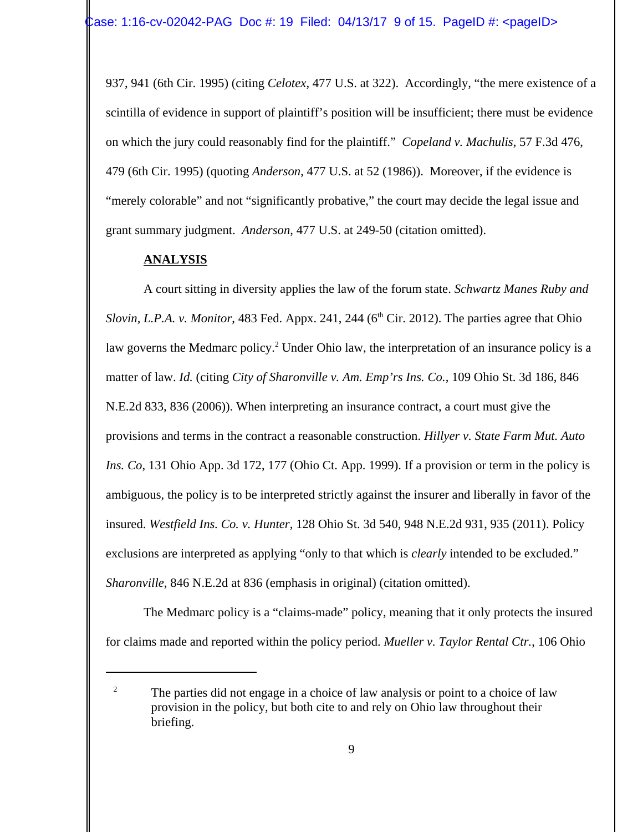937, 941 (6th Cir. 1995) (citing *Celotex*, 477 U.S. at 322). Accordingly, "the mere existence of a scintilla of evidence in support of plaintiff's position will be insufficient; there must be evidence on which the jury could reasonably find for the plaintiff." *Copeland v. Machulis*, 57 F.3d 476, 479 (6th Cir. 1995) (quoting *Anderson*, 477 U.S. at 52 (1986)). Moreover, if the evidence is "merely colorable" and not "significantly probative," the court may decide the legal issue and grant summary judgment. *Anderson*, 477 U.S. at 249-50 (citation omitted).

#### **ANALYSIS**

A court sitting in diversity applies the law of the forum state. *Schwartz Manes Ruby and Slovin, L.P.A. v. Monitor,* 483 Fed. Appx. 241, 244 ( $6<sup>th</sup> Cir. 2012$ ). The parties agree that Ohio law governs the Medmarc policy.<sup>2</sup> Under Ohio law, the interpretation of an insurance policy is a matter of law. *Id.* (citing *City of Sharonville v. Am. Emp'rs Ins. Co.*, 109 Ohio St. 3d 186, 846 N.E.2d 833, 836 (2006)). When interpreting an insurance contract, a court must give the provisions and terms in the contract a reasonable construction. *Hillyer v. State Farm Mut. Auto Ins. Co*, 131 Ohio App. 3d 172, 177 (Ohio Ct. App. 1999). If a provision or term in the policy is ambiguous, the policy is to be interpreted strictly against the insurer and liberally in favor of the insured. *Westfield Ins. Co. v. Hunter*, 128 Ohio St. 3d 540, 948 N.E.2d 931, 935 (2011). Policy exclusions are interpreted as applying "only to that which is *clearly* intended to be excluded." *Sharonville*, 846 N.E.2d at 836 (emphasis in original) (citation omitted).

The Medmarc policy is a "claims-made" policy, meaning that it only protects the insured for claims made and reported within the policy period. *Mueller v. Taylor Rental Ctr.*, 106 Ohio

<sup>&</sup>lt;sup>2</sup> The parties did not engage in a choice of law analysis or point to a choice of law provision in the policy, but both cite to and rely on Ohio law throughout their briefing.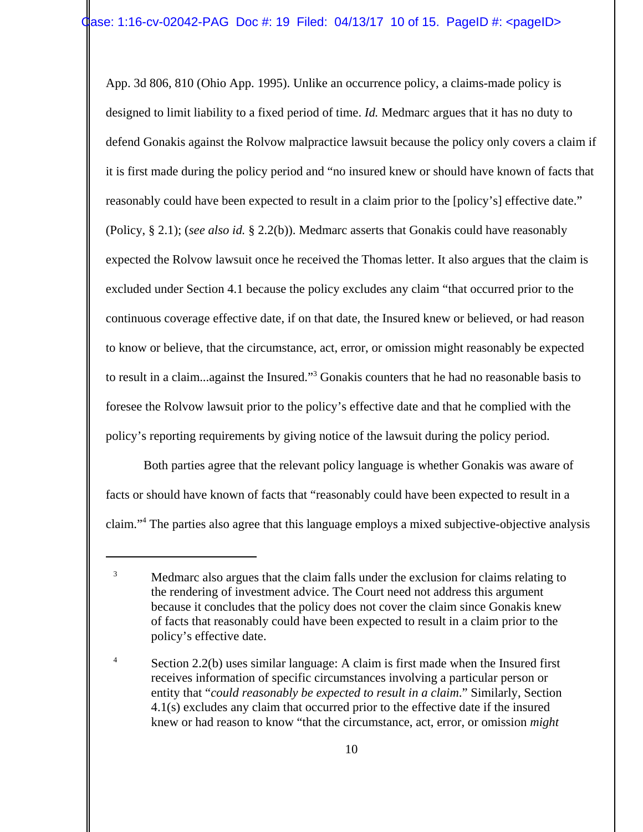App. 3d 806, 810 (Ohio App. 1995). Unlike an occurrence policy, a claims-made policy is designed to limit liability to a fixed period of time. *Id.* Medmarc argues that it has no duty to defend Gonakis against the Rolvow malpractice lawsuit because the policy only covers a claim if it is first made during the policy period and "no insured knew or should have known of facts that reasonably could have been expected to result in a claim prior to the [policy's] effective date." (Policy, § 2.1); (*see also id.* § 2.2(b)). Medmarc asserts that Gonakis could have reasonably expected the Rolvow lawsuit once he received the Thomas letter. It also argues that the claim is excluded under Section 4.1 because the policy excludes any claim "that occurred prior to the continuous coverage effective date, if on that date, the Insured knew or believed, or had reason to know or believe, that the circumstance, act, error, or omission might reasonably be expected to result in a claim...against the Insured."<sup>3</sup> Gonakis counters that he had no reasonable basis to foresee the Rolvow lawsuit prior to the policy's effective date and that he complied with the policy's reporting requirements by giving notice of the lawsuit during the policy period.

Both parties agree that the relevant policy language is whether Gonakis was aware of facts or should have known of facts that "reasonably could have been expected to result in a claim."4 The parties also agree that this language employs a mixed subjective-objective analysis

<sup>&</sup>lt;sup>3</sup> Medmarc also argues that the claim falls under the exclusion for claims relating to the rendering of investment advice. The Court need not address this argument because it concludes that the policy does not cover the claim since Gonakis knew of facts that reasonably could have been expected to result in a claim prior to the policy's effective date.

<sup>&</sup>lt;sup>4</sup> Section 2.2(b) uses similar language: A claim is first made when the Insured first receives information of specific circumstances involving a particular person or entity that "*could reasonably be expected to result in a claim*." Similarly, Section 4.1(s) excludes any claim that occurred prior to the effective date if the insured knew or had reason to know "that the circumstance, act, error, or omission *might*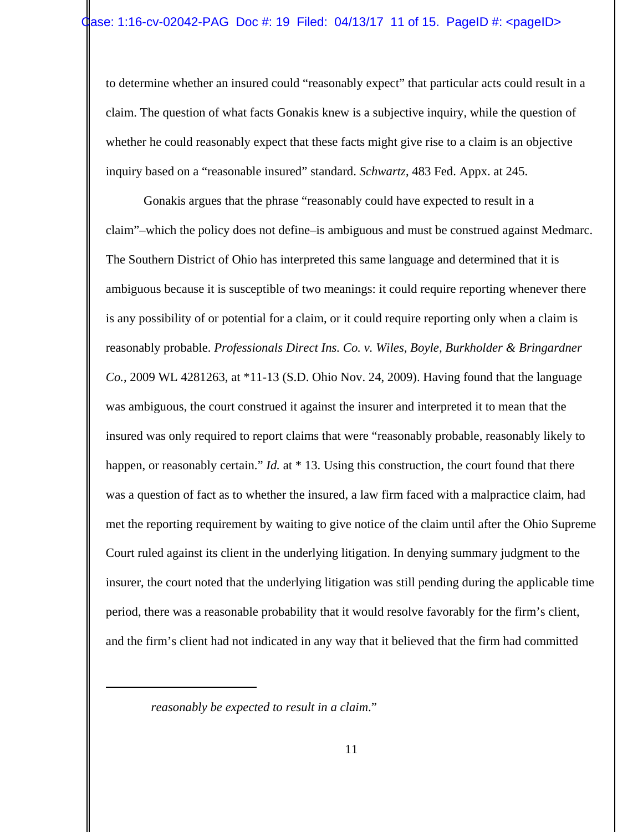to determine whether an insured could "reasonably expect" that particular acts could result in a claim. The question of what facts Gonakis knew is a subjective inquiry, while the question of whether he could reasonably expect that these facts might give rise to a claim is an objective inquiry based on a "reasonable insured" standard. *Schwartz*, 483 Fed. Appx. at 245.

Gonakis argues that the phrase "reasonably could have expected to result in a claim"–which the policy does not define–is ambiguous and must be construed against Medmarc. The Southern District of Ohio has interpreted this same language and determined that it is ambiguous because it is susceptible of two meanings: it could require reporting whenever there is any possibility of or potential for a claim, or it could require reporting only when a claim is reasonably probable. *Professionals Direct Ins. Co. v. Wiles, Boyle, Burkholder & Bringardner Co.*, 2009 WL 4281263, at \*11-13 (S.D. Ohio Nov. 24, 2009). Having found that the language was ambiguous, the court construed it against the insurer and interpreted it to mean that the insured was only required to report claims that were "reasonably probable, reasonably likely to happen, or reasonably certain." *Id.* at \* 13. Using this construction, the court found that there was a question of fact as to whether the insured, a law firm faced with a malpractice claim, had met the reporting requirement by waiting to give notice of the claim until after the Ohio Supreme Court ruled against its client in the underlying litigation. In denying summary judgment to the insurer, the court noted that the underlying litigation was still pending during the applicable time period, there was a reasonable probability that it would resolve favorably for the firm's client, and the firm's client had not indicated in any way that it believed that the firm had committed

*reasonably be expected to result in a claim*."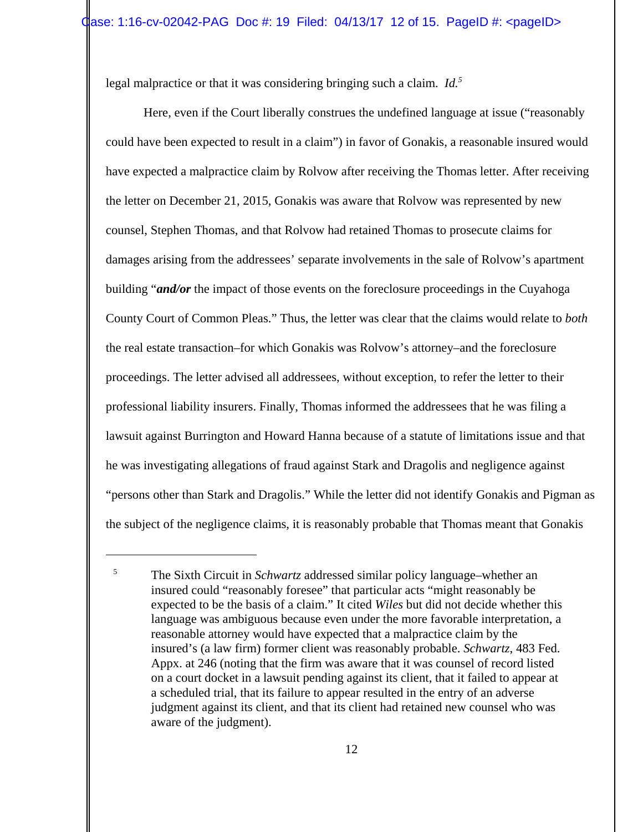legal malpractice or that it was considering bringing such a claim. *Id.5*

Here, even if the Court liberally construes the undefined language at issue ("reasonably could have been expected to result in a claim") in favor of Gonakis, a reasonable insured would have expected a malpractice claim by Rolvow after receiving the Thomas letter. After receiving the letter on December 21, 2015, Gonakis was aware that Rolvow was represented by new counsel, Stephen Thomas, and that Rolvow had retained Thomas to prosecute claims for damages arising from the addressees' separate involvements in the sale of Rolvow's apartment building "*and/or* the impact of those events on the foreclosure proceedings in the Cuyahoga County Court of Common Pleas." Thus, the letter was clear that the claims would relate to *both* the real estate transaction–for which Gonakis was Rolvow's attorney–and the foreclosure proceedings. The letter advised all addressees, without exception, to refer the letter to their professional liability insurers. Finally, Thomas informed the addressees that he was filing a lawsuit against Burrington and Howard Hanna because of a statute of limitations issue and that he was investigating allegations of fraud against Stark and Dragolis and negligence against "persons other than Stark and Dragolis." While the letter did not identify Gonakis and Pigman as the subject of the negligence claims, it is reasonably probable that Thomas meant that Gonakis

<sup>5</sup> The Sixth Circuit in *Schwartz* addressed similar policy language–whether an insured could "reasonably foresee" that particular acts "might reasonably be expected to be the basis of a claim." It cited *Wiles* but did not decide whether this language was ambiguous because even under the more favorable interpretation, a reasonable attorney would have expected that a malpractice claim by the insured's (a law firm) former client was reasonably probable. *Schwartz*, 483 Fed. Appx. at 246 (noting that the firm was aware that it was counsel of record listed on a court docket in a lawsuit pending against its client, that it failed to appear at a scheduled trial, that its failure to appear resulted in the entry of an adverse judgment against its client, and that its client had retained new counsel who was aware of the judgment).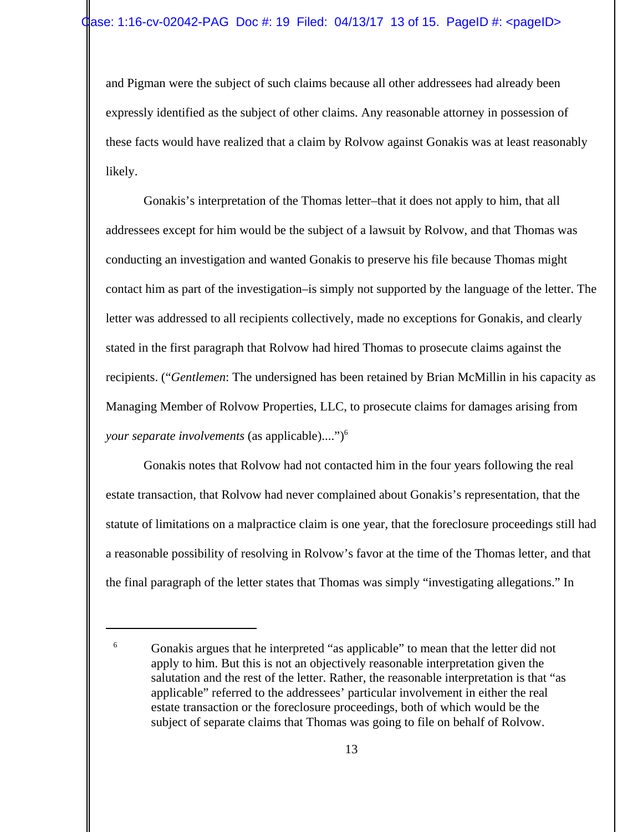and Pigman were the subject of such claims because all other addressees had already been expressly identified as the subject of other claims. Any reasonable attorney in possession of these facts would have realized that a claim by Rolvow against Gonakis was at least reasonably likely.

Gonakis's interpretation of the Thomas letter–that it does not apply to him, that all addressees except for him would be the subject of a lawsuit by Rolvow, and that Thomas was conducting an investigation and wanted Gonakis to preserve his file because Thomas might contact him as part of the investigation–is simply not supported by the language of the letter. The letter was addressed to all recipients collectively, made no exceptions for Gonakis, and clearly stated in the first paragraph that Rolvow had hired Thomas to prosecute claims against the recipients. ("*Gentlemen*: The undersigned has been retained by Brian McMillin in his capacity as Managing Member of Rolvow Properties, LLC, to prosecute claims for damages arising from *your separate involvements* (as applicable)....")6

Gonakis notes that Rolvow had not contacted him in the four years following the real estate transaction, that Rolvow had never complained about Gonakis's representation, that the statute of limitations on a malpractice claim is one year, that the foreclosure proceedings still had a reasonable possibility of resolving in Rolvow's favor at the time of the Thomas letter, and that the final paragraph of the letter states that Thomas was simply "investigating allegations." In

<sup>&</sup>lt;sup>6</sup> Gonakis argues that he interpreted "as applicable" to mean that the letter did not apply to him. But this is not an objectively reasonable interpretation given the salutation and the rest of the letter. Rather, the reasonable interpretation is that "as applicable" referred to the addressees' particular involvement in either the real estate transaction or the foreclosure proceedings, both of which would be the subject of separate claims that Thomas was going to file on behalf of Rolvow.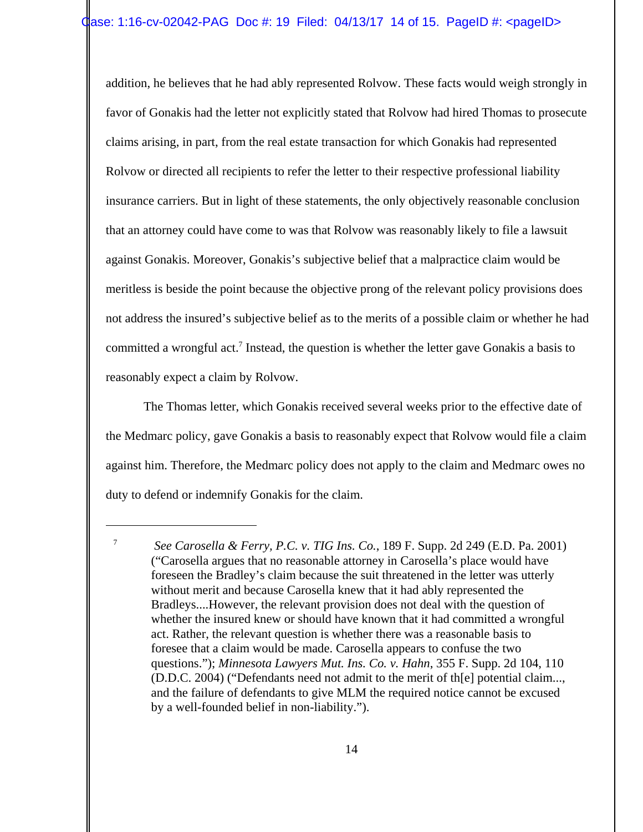addition, he believes that he had ably represented Rolvow. These facts would weigh strongly in favor of Gonakis had the letter not explicitly stated that Rolvow had hired Thomas to prosecute claims arising, in part, from the real estate transaction for which Gonakis had represented Rolvow or directed all recipients to refer the letter to their respective professional liability insurance carriers. But in light of these statements, the only objectively reasonable conclusion that an attorney could have come to was that Rolvow was reasonably likely to file a lawsuit against Gonakis. Moreover, Gonakis's subjective belief that a malpractice claim would be meritless is beside the point because the objective prong of the relevant policy provisions does not address the insured's subjective belief as to the merits of a possible claim or whether he had committed a wrongful act.<sup>7</sup> Instead, the question is whether the letter gave Gonakis a basis to reasonably expect a claim by Rolvow.

The Thomas letter, which Gonakis received several weeks prior to the effective date of the Medmarc policy, gave Gonakis a basis to reasonably expect that Rolvow would file a claim against him. Therefore, the Medmarc policy does not apply to the claim and Medmarc owes no duty to defend or indemnify Gonakis for the claim.

<sup>7</sup> *See Carosella & Ferry, P.C. v. TIG Ins. Co.*, 189 F. Supp. 2d 249 (E.D. Pa. 2001) ("Carosella argues that no reasonable attorney in Carosella's place would have foreseen the Bradley's claim because the suit threatened in the letter was utterly without merit and because Carosella knew that it had ably represented the Bradleys....However, the relevant provision does not deal with the question of whether the insured knew or should have known that it had committed a wrongful act. Rather, the relevant question is whether there was a reasonable basis to foresee that a claim would be made. Carosella appears to confuse the two questions."); *Minnesota Lawyers Mut. Ins. Co. v. Hahn*, 355 F. Supp. 2d 104, 110 (D.D.C. 2004) ("Defendants need not admit to the merit of th[e] potential claim..., and the failure of defendants to give MLM the required notice cannot be excused by a well-founded belief in non-liability.").